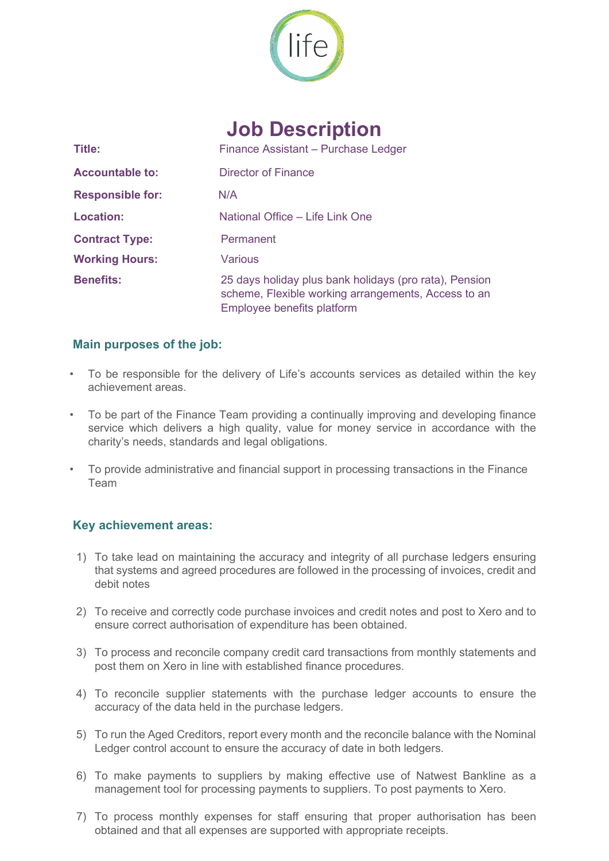

# **Job Description**

| Title:                  | Finance Assistant - Purchase Ledger                                                                                                         |
|-------------------------|---------------------------------------------------------------------------------------------------------------------------------------------|
| <b>Accountable to:</b>  | Director of Finance                                                                                                                         |
| <b>Responsible for:</b> | N/A                                                                                                                                         |
| <b>Location:</b>        | National Office – Life Link One                                                                                                             |
| <b>Contract Type:</b>   | Permanent                                                                                                                                   |
| <b>Working Hours:</b>   | Various                                                                                                                                     |
| <b>Benefits:</b>        | 25 days holiday plus bank holidays (pro rata), Pension<br>scheme, Flexible working arrangements, Access to an<br>Employee benefits platform |

#### **Main purposes of the job:**

- To be responsible for the delivery of Life's accounts services as detailed within the key achievement areas.
- To be part of the Finance Team providing a continually improving and developing finance service which delivers a high quality, value for money service in accordance with the charity's needs, standards and legal obligations.
- To provide administrative and financial support in processing transactions in the Finance Team

#### **Key achievement areas:**

- 1) To take lead on maintaining the accuracy and integrity of all purchase ledgers ensuring that systems and agreed procedures are followed in the processing of invoices, credit and debit notes
- 2) To receive and correctly code purchase invoices and credit notes and post to Xero and to ensure correct authorisation of expenditure has been obtained.
- 3) To process and reconcile company credit card transactions from monthly statements and post them on Xero in line with established finance procedures.
- 4) To reconcile supplier statements with the purchase ledger accounts to ensure the accuracy of the data held in the purchase ledgers.
- 5) To run the Aged Creditors, report every month and the reconcile balance with the Nominal Ledger control account to ensure the accuracy of date in both ledgers.
- 6) To make payments to suppliers by making effective use of Natwest Bankline as a management tool for processing payments to suppliers. To post payments to Xero.
- 7) To process monthly expenses for staff ensuring that proper authorisation has been obtained and that all expenses are supported with appropriate receipts.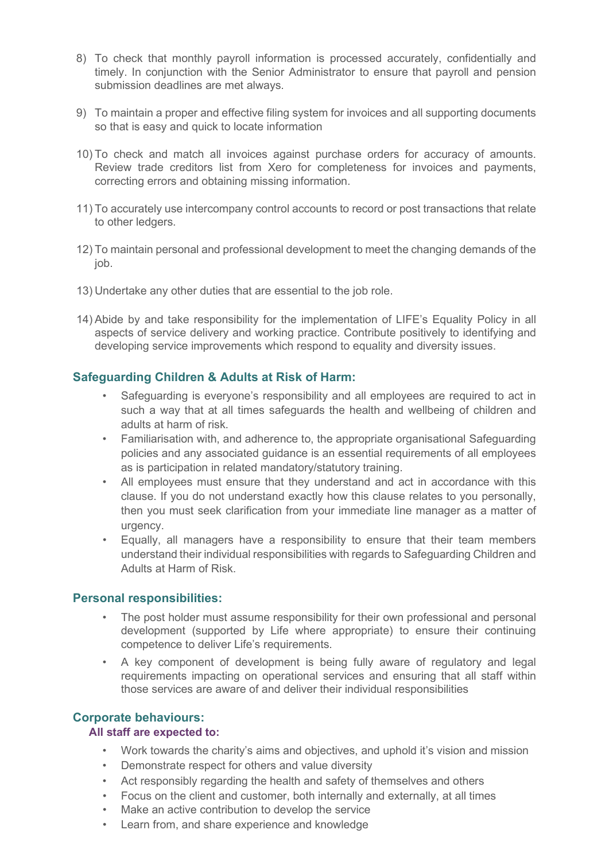- 8) To check that monthly payroll information is processed accurately, confidentially and timely. In conjunction with the Senior Administrator to ensure that payroll and pension submission deadlines are met always.
- 9) To maintain a proper and effective filing system for invoices and all supporting documents so that is easy and quick to locate information
- 10) To check and match all invoices against purchase orders for accuracy of amounts. Review trade creditors list from Xero for completeness for invoices and payments, correcting errors and obtaining missing information.
- 11) To accurately use intercompany control accounts to record or post transactions that relate to other ledgers.
- 12) To maintain personal and professional development to meet the changing demands of the job.
- 13) Undertake any other duties that are essential to the job role.
- 14) Abide by and take responsibility for the implementation of LIFE's Equality Policy in all aspects of service delivery and working practice. Contribute positively to identifying and developing service improvements which respond to equality and diversity issues.

#### **Safeguarding Children & Adults at Risk of Harm:**

- Safeguarding is everyone's responsibility and all employees are required to act in such a way that at all times safeguards the health and wellbeing of children and adults at harm of risk.
- Familiarisation with, and adherence to, the appropriate organisational Safeguarding policies and any associated guidance is an essential requirements of all employees as is participation in related mandatory/statutory training.
- All employees must ensure that they understand and act in accordance with this clause. If you do not understand exactly how this clause relates to you personally, then you must seek clarification from your immediate line manager as a matter of urgency.
- Equally, all managers have a responsibility to ensure that their team members understand their individual responsibilities with regards to Safeguarding Children and Adults at Harm of Risk.

#### **Personal responsibilities:**

- The post holder must assume responsibility for their own professional and personal development (supported by Life where appropriate) to ensure their continuing competence to deliver Life's requirements.
- A key component of development is being fully aware of regulatory and legal requirements impacting on operational services and ensuring that all staff within those services are aware of and deliver their individual responsibilities

### **Corporate behaviours:**

#### **All staff are expected to:**

- Work towards the charity's aims and objectives, and uphold it's vision and mission
- Demonstrate respect for others and value diversity
- Act responsibly regarding the health and safety of themselves and others
- Focus on the client and customer, both internally and externally, at all times
- Make an active contribution to develop the service
- Learn from, and share experience and knowledge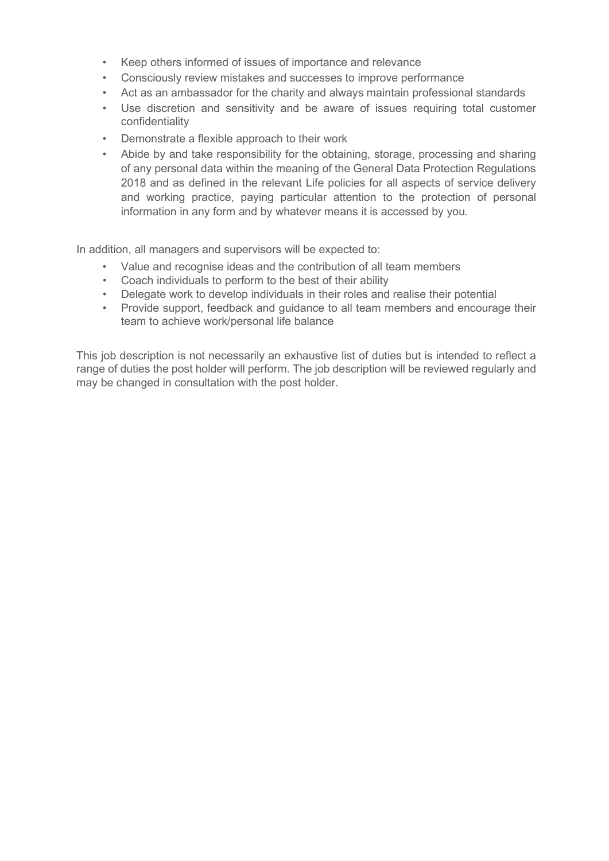- Keep others informed of issues of importance and relevance
- Consciously review mistakes and successes to improve performance
- Act as an ambassador for the charity and always maintain professional standards
- Use discretion and sensitivity and be aware of issues requiring total customer confidentiality
- Demonstrate a flexible approach to their work
- Abide by and take responsibility for the obtaining, storage, processing and sharing of any personal data within the meaning of the General Data Protection Regulations 2018 and as defined in the relevant Life policies for all aspects of service delivery and working practice, paying particular attention to the protection of personal information in any form and by whatever means it is accessed by you.

In addition, all managers and supervisors will be expected to:

- Value and recognise ideas and the contribution of all team members
- Coach individuals to perform to the best of their ability
- Delegate work to develop individuals in their roles and realise their potential
- Provide support, feedback and guidance to all team members and encourage their team to achieve work/personal life balance

This job description is not necessarily an exhaustive list of duties but is intended to reflect a range of duties the post holder will perform. The job description will be reviewed regularly and may be changed in consultation with the post holder.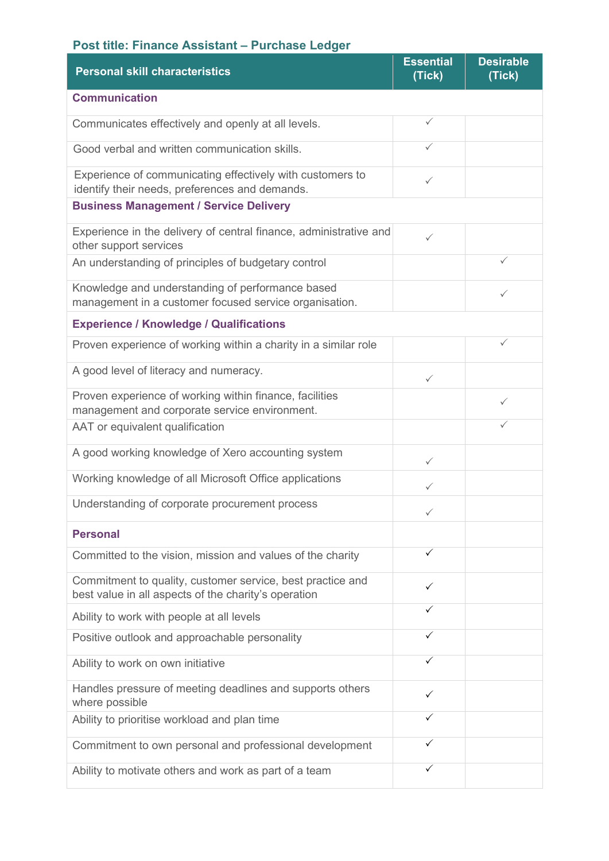## **Post title: Finance Assistant – Purchase Ledger**

| <b>Personal skill characteristics</b>                                                                              | <b>Essential</b><br>(Tick) | <b>Desirable</b><br>(Tick) |
|--------------------------------------------------------------------------------------------------------------------|----------------------------|----------------------------|
| <b>Communication</b>                                                                                               |                            |                            |
| Communicates effectively and openly at all levels.                                                                 | $\checkmark$               |                            |
| Good verbal and written communication skills.                                                                      | ✓                          |                            |
| Experience of communicating effectively with customers to<br>identify their needs, preferences and demands.        | ✓                          |                            |
| <b>Business Management / Service Delivery</b>                                                                      |                            |                            |
| Experience in the delivery of central finance, administrative and<br>other support services                        | $\checkmark$               |                            |
| An understanding of principles of budgetary control                                                                |                            | ✓                          |
| Knowledge and understanding of performance based<br>management in a customer focused service organisation.         |                            | ✓                          |
| <b>Experience / Knowledge / Qualifications</b>                                                                     |                            |                            |
| Proven experience of working within a charity in a similar role                                                    |                            | $\checkmark$               |
| A good level of literacy and numeracy.                                                                             | $\checkmark$               |                            |
| Proven experience of working within finance, facilities<br>management and corporate service environment.           |                            | ✓                          |
| AAT or equivalent qualification                                                                                    |                            | ✓                          |
| A good working knowledge of Xero accounting system                                                                 | $\checkmark$               |                            |
| Working knowledge of all Microsoft Office applications                                                             | ✓                          |                            |
| Understanding of corporate procurement process                                                                     | $\checkmark$               |                            |
| <b>Personal</b>                                                                                                    |                            |                            |
| Committed to the vision, mission and values of the charity                                                         | ✓                          |                            |
| Commitment to quality, customer service, best practice and<br>best value in all aspects of the charity's operation | ✓                          |                            |
| Ability to work with people at all levels                                                                          | ✓                          |                            |
| Positive outlook and approachable personality                                                                      | ✓                          |                            |
| Ability to work on own initiative                                                                                  | ✓                          |                            |
| Handles pressure of meeting deadlines and supports others<br>where possible                                        | ✓                          |                            |
| Ability to prioritise workload and plan time                                                                       | ✓                          |                            |
| Commitment to own personal and professional development                                                            | ✓                          |                            |
| Ability to motivate others and work as part of a team                                                              | ✓                          |                            |